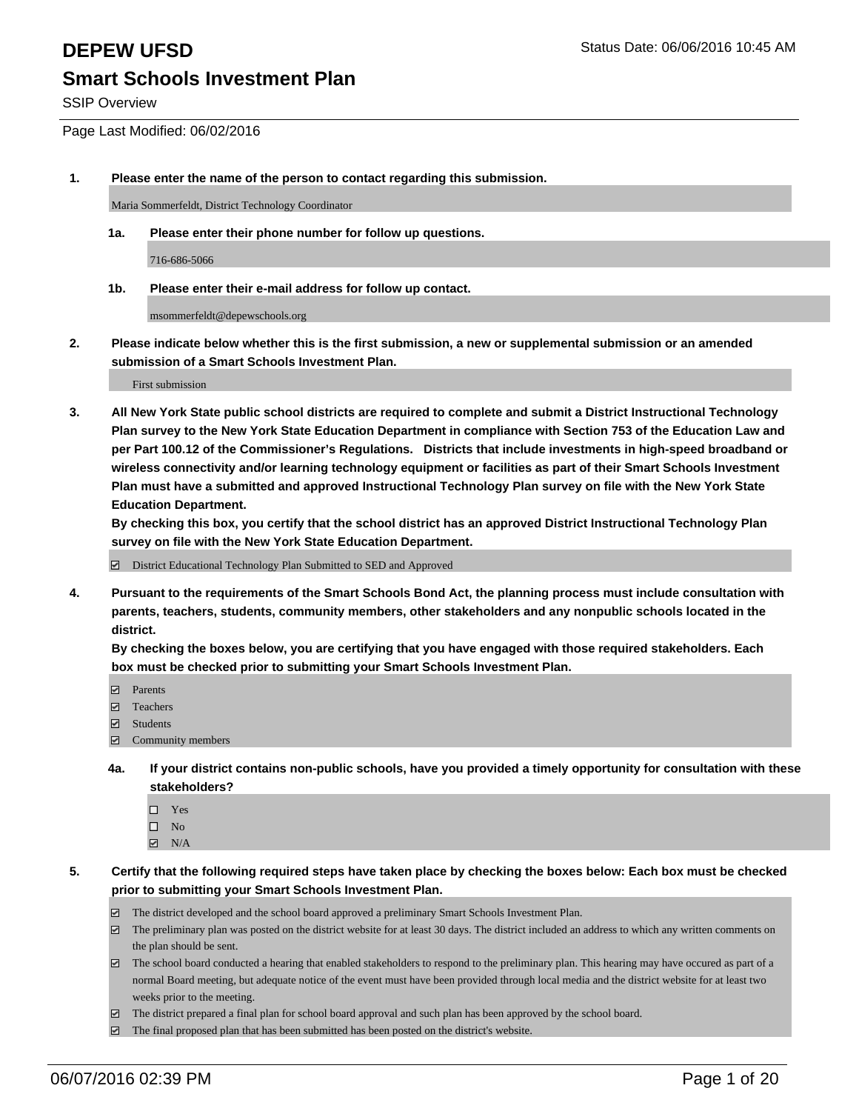SSIP Overview

Page Last Modified: 06/02/2016

### **1. Please enter the name of the person to contact regarding this submission.**

Maria Sommerfeldt, District Technology Coordinator

**1a. Please enter their phone number for follow up questions.**

716-686-5066

**1b. Please enter their e-mail address for follow up contact.**

msommerfeldt@depewschools.org

**2. Please indicate below whether this is the first submission, a new or supplemental submission or an amended submission of a Smart Schools Investment Plan.**

First submission

**3. All New York State public school districts are required to complete and submit a District Instructional Technology Plan survey to the New York State Education Department in compliance with Section 753 of the Education Law and per Part 100.12 of the Commissioner's Regulations. Districts that include investments in high-speed broadband or wireless connectivity and/or learning technology equipment or facilities as part of their Smart Schools Investment Plan must have a submitted and approved Instructional Technology Plan survey on file with the New York State Education Department.** 

**By checking this box, you certify that the school district has an approved District Instructional Technology Plan survey on file with the New York State Education Department.**

District Educational Technology Plan Submitted to SED and Approved

**4. Pursuant to the requirements of the Smart Schools Bond Act, the planning process must include consultation with parents, teachers, students, community members, other stakeholders and any nonpublic schools located in the district.** 

**By checking the boxes below, you are certifying that you have engaged with those required stakeholders. Each box must be checked prior to submitting your Smart Schools Investment Plan.**

- **Parents**
- Teachers
- Students
- Community members
- **4a. If your district contains non-public schools, have you provided a timely opportunity for consultation with these stakeholders?**
	- $\Box$  Yes  $\square$  No
	- $\boxtimes$  N/A
- **5. Certify that the following required steps have taken place by checking the boxes below: Each box must be checked prior to submitting your Smart Schools Investment Plan.**
	- The district developed and the school board approved a preliminary Smart Schools Investment Plan.
	- $\boxdot$  The preliminary plan was posted on the district website for at least 30 days. The district included an address to which any written comments on the plan should be sent.
	- $\Box$  The school board conducted a hearing that enabled stakeholders to respond to the preliminary plan. This hearing may have occured as part of a normal Board meeting, but adequate notice of the event must have been provided through local media and the district website for at least two weeks prior to the meeting.
	- The district prepared a final plan for school board approval and such plan has been approved by the school board.
	- $\boxdot$  The final proposed plan that has been submitted has been posted on the district's website.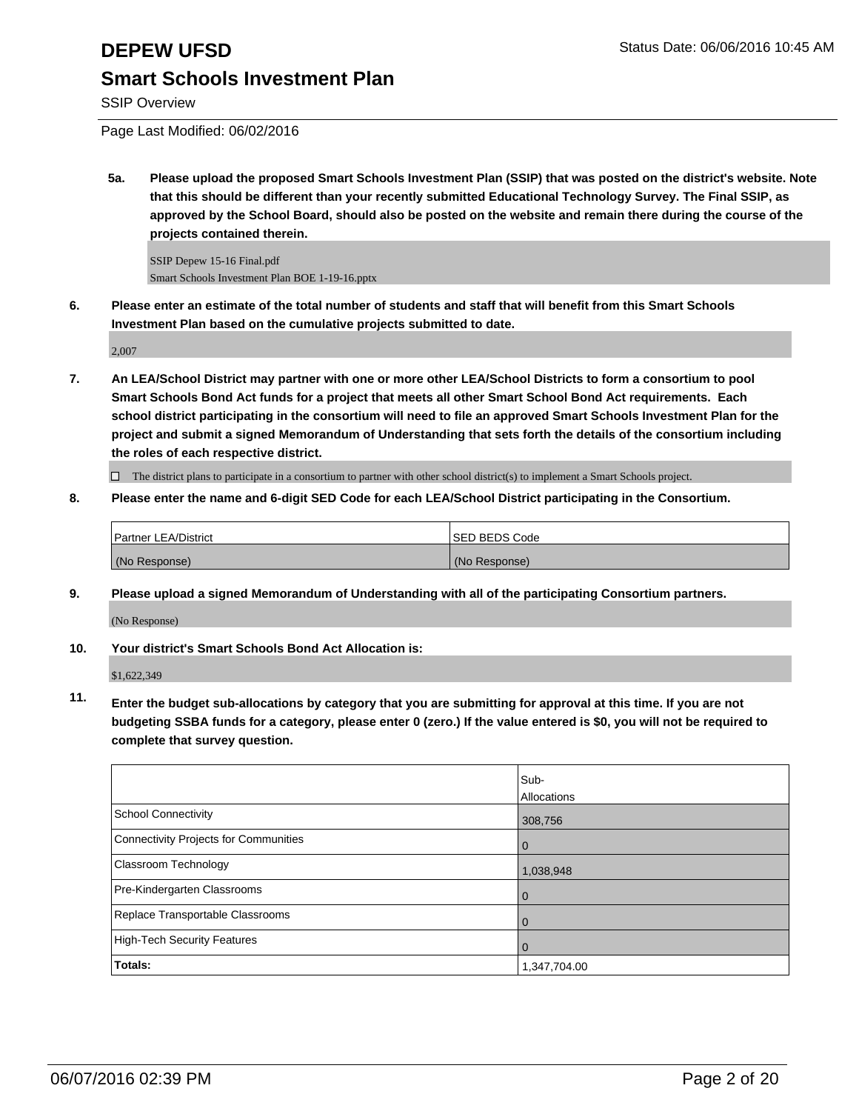SSIP Overview

Page Last Modified: 06/02/2016

**5a. Please upload the proposed Smart Schools Investment Plan (SSIP) that was posted on the district's website. Note that this should be different than your recently submitted Educational Technology Survey. The Final SSIP, as approved by the School Board, should also be posted on the website and remain there during the course of the projects contained therein.**

SSIP Depew 15-16 Final.pdf Smart Schools Investment Plan BOE 1-19-16.pptx

**6. Please enter an estimate of the total number of students and staff that will benefit from this Smart Schools Investment Plan based on the cumulative projects submitted to date.**

2,007

**7. An LEA/School District may partner with one or more other LEA/School Districts to form a consortium to pool Smart Schools Bond Act funds for a project that meets all other Smart School Bond Act requirements. Each school district participating in the consortium will need to file an approved Smart Schools Investment Plan for the project and submit a signed Memorandum of Understanding that sets forth the details of the consortium including the roles of each respective district.**

 $\Box$  The district plans to participate in a consortium to partner with other school district(s) to implement a Smart Schools project.

**8. Please enter the name and 6-digit SED Code for each LEA/School District participating in the Consortium.**

| <b>Partner LEA/District</b> | <b>ISED BEDS Code</b> |
|-----------------------------|-----------------------|
| (No Response)               | (No Response)         |

**9. Please upload a signed Memorandum of Understanding with all of the participating Consortium partners.**

(No Response)

### **10. Your district's Smart Schools Bond Act Allocation is:**

\$1,622,349

**11. Enter the budget sub-allocations by category that you are submitting for approval at this time. If you are not budgeting SSBA funds for a category, please enter 0 (zero.) If the value entered is \$0, you will not be required to complete that survey question.**

|                                       | Sub-<br>Allocations |
|---------------------------------------|---------------------|
| School Connectivity                   | 308,756             |
| Connectivity Projects for Communities | 0                   |
| <b>Classroom Technology</b>           | 1,038,948           |
| Pre-Kindergarten Classrooms           |                     |
| Replace Transportable Classrooms      |                     |
| High-Tech Security Features           | O                   |
| Totals:                               | 1,347,704.00        |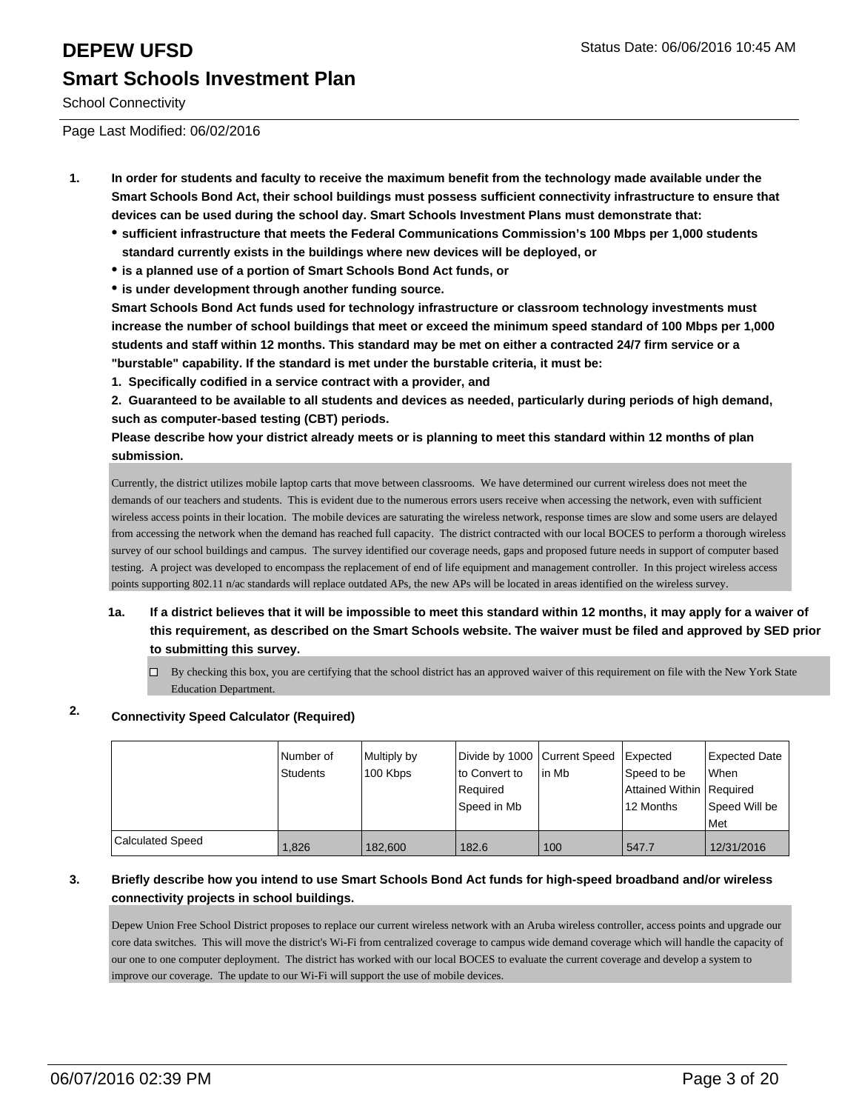# **DEPEW UFSD DEPEW UFSD Status Date: 06/06/2016 10:45 AM Smart Schools Investment Plan**

School Connectivity

Page Last Modified: 06/02/2016

- **1. In order for students and faculty to receive the maximum benefit from the technology made available under the Smart Schools Bond Act, their school buildings must possess sufficient connectivity infrastructure to ensure that devices can be used during the school day. Smart Schools Investment Plans must demonstrate that:**
	- **sufficient infrastructure that meets the Federal Communications Commission's 100 Mbps per 1,000 students standard currently exists in the buildings where new devices will be deployed, or**
	- **is a planned use of a portion of Smart Schools Bond Act funds, or**
	- **is under development through another funding source.**

**Smart Schools Bond Act funds used for technology infrastructure or classroom technology investments must increase the number of school buildings that meet or exceed the minimum speed standard of 100 Mbps per 1,000 students and staff within 12 months. This standard may be met on either a contracted 24/7 firm service or a "burstable" capability. If the standard is met under the burstable criteria, it must be:**

**1. Specifically codified in a service contract with a provider, and**

**2. Guaranteed to be available to all students and devices as needed, particularly during periods of high demand, such as computer-based testing (CBT) periods.**

**Please describe how your district already meets or is planning to meet this standard within 12 months of plan submission.**

Currently, the district utilizes mobile laptop carts that move between classrooms. We have determined our current wireless does not meet the demands of our teachers and students. This is evident due to the numerous errors users receive when accessing the network, even with sufficient wireless access points in their location. The mobile devices are saturating the wireless network, response times are slow and some users are delayed from accessing the network when the demand has reached full capacity. The district contracted with our local BOCES to perform a thorough wireless survey of our school buildings and campus. The survey identified our coverage needs, gaps and proposed future needs in support of computer based testing. A project was developed to encompass the replacement of end of life equipment and management controller. In this project wireless access points supporting 802.11 n/ac standards will replace outdated APs, the new APs will be located in areas identified on the wireless survey.

- **1a. If a district believes that it will be impossible to meet this standard within 12 months, it may apply for a waiver of this requirement, as described on the Smart Schools website. The waiver must be filed and approved by SED prior to submitting this survey.**
	- $\Box$  By checking this box, you are certifying that the school district has an approved waiver of this requirement on file with the New York State Education Department.

### **2. Connectivity Speed Calculator (Required)**

|                  | INumber of<br>Students | Multiply by<br>100 Kbps | Divide by 1000 Current Speed<br>Ito Convert to<br>l Reauired<br>lSpeed in Mb | lin Mb | <b>Expected</b><br>Speed to be<br>Attained Within   Required<br>12 Months | Expected Date<br><b>When</b><br>Speed Will be |
|------------------|------------------------|-------------------------|------------------------------------------------------------------------------|--------|---------------------------------------------------------------------------|-----------------------------------------------|
|                  |                        |                         |                                                                              |        |                                                                           | l Met                                         |
| Calculated Speed | 1,826                  | 182,600                 | 182.6                                                                        | 100    | 547.7                                                                     | 12/31/2016                                    |

### **3. Briefly describe how you intend to use Smart Schools Bond Act funds for high-speed broadband and/or wireless connectivity projects in school buildings.**

Depew Union Free School District proposes to replace our current wireless network with an Aruba wireless controller, access points and upgrade our core data switches. This will move the district's Wi-Fi from centralized coverage to campus wide demand coverage which will handle the capacity of our one to one computer deployment. The district has worked with our local BOCES to evaluate the current coverage and develop a system to improve our coverage. The update to our Wi-Fi will support the use of mobile devices.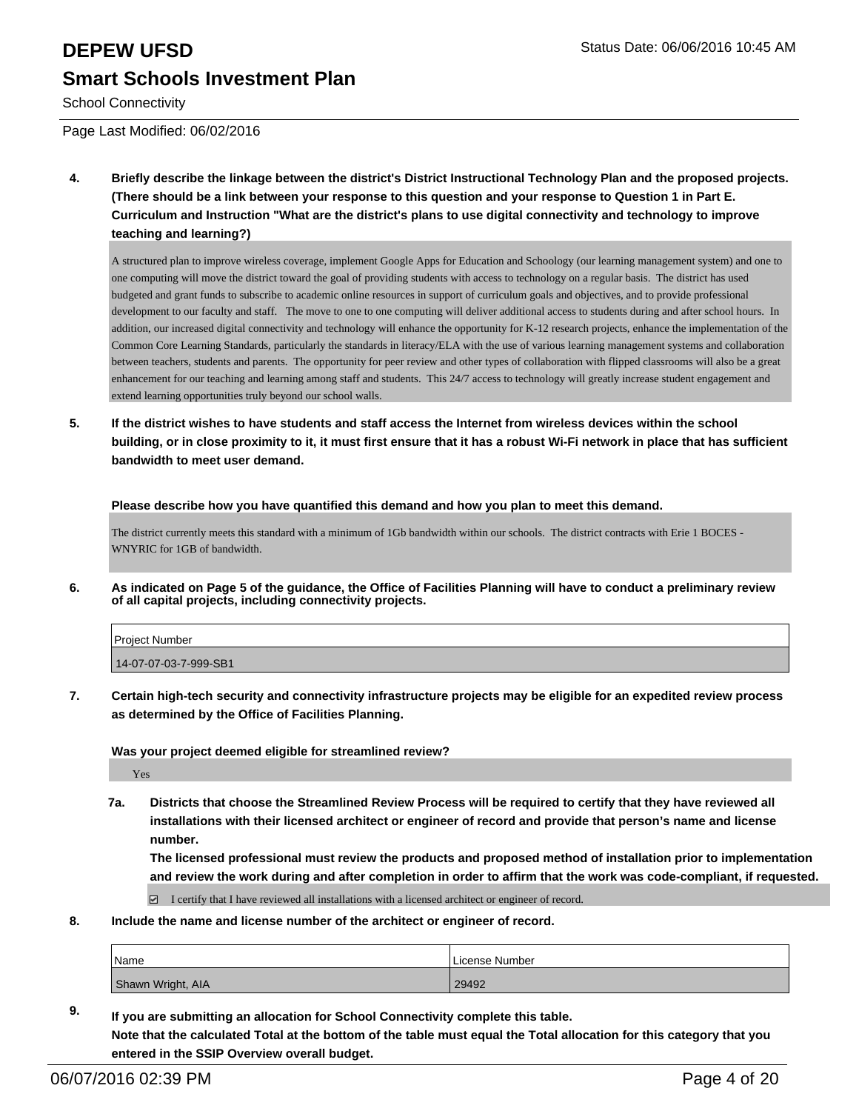# **DEPEW UFSD DEPEW UFSD Status Date: 06/06/2016 10:45 AM Smart Schools Investment Plan**

School Connectivity

Page Last Modified: 06/02/2016

**4. Briefly describe the linkage between the district's District Instructional Technology Plan and the proposed projects. (There should be a link between your response to this question and your response to Question 1 in Part E. Curriculum and Instruction "What are the district's plans to use digital connectivity and technology to improve teaching and learning?)**

A structured plan to improve wireless coverage, implement Google Apps for Education and Schoology (our learning management system) and one to one computing will move the district toward the goal of providing students with access to technology on a regular basis. The district has used budgeted and grant funds to subscribe to academic online resources in support of curriculum goals and objectives, and to provide professional development to our faculty and staff. The move to one to one computing will deliver additional access to students during and after school hours. In addition, our increased digital connectivity and technology will enhance the opportunity for K-12 research projects, enhance the implementation of the Common Core Learning Standards, particularly the standards in literacy/ELA with the use of various learning management systems and collaboration between teachers, students and parents. The opportunity for peer review and other types of collaboration with flipped classrooms will also be a great enhancement for our teaching and learning among staff and students. This 24/7 access to technology will greatly increase student engagement and extend learning opportunities truly beyond our school walls.

**5. If the district wishes to have students and staff access the Internet from wireless devices within the school building, or in close proximity to it, it must first ensure that it has a robust Wi-Fi network in place that has sufficient bandwidth to meet user demand.**

**Please describe how you have quantified this demand and how you plan to meet this demand.**

The district currently meets this standard with a minimum of 1Gb bandwidth within our schools. The district contracts with Erie 1 BOCES - WNYRIC for 1GB of bandwidth.

**6. As indicated on Page 5 of the guidance, the Office of Facilities Planning will have to conduct a preliminary review of all capital projects, including connectivity projects.**

| <b>Project Number</b> |  |
|-----------------------|--|
| 14-07-07-03-7-999-SB1 |  |

**7. Certain high-tech security and connectivity infrastructure projects may be eligible for an expedited review process as determined by the Office of Facilities Planning.**

**Was your project deemed eligible for streamlined review?**

Yes

**7a. Districts that choose the Streamlined Review Process will be required to certify that they have reviewed all installations with their licensed architect or engineer of record and provide that person's name and license number.**

**The licensed professional must review the products and proposed method of installation prior to implementation and review the work during and after completion in order to affirm that the work was code-compliant, if requested.**

 $\boxtimes$  I certify that I have reviewed all installations with a licensed architect or engineer of record.

**8. Include the name and license number of the architect or engineer of record.**

| Name              | License Number |
|-------------------|----------------|
| Shawn Wright, AIA | 29492          |

**9. If you are submitting an allocation for School Connectivity complete this table. Note that the calculated Total at the bottom of the table must equal the Total allocation for this category that you entered in the SSIP Overview overall budget.**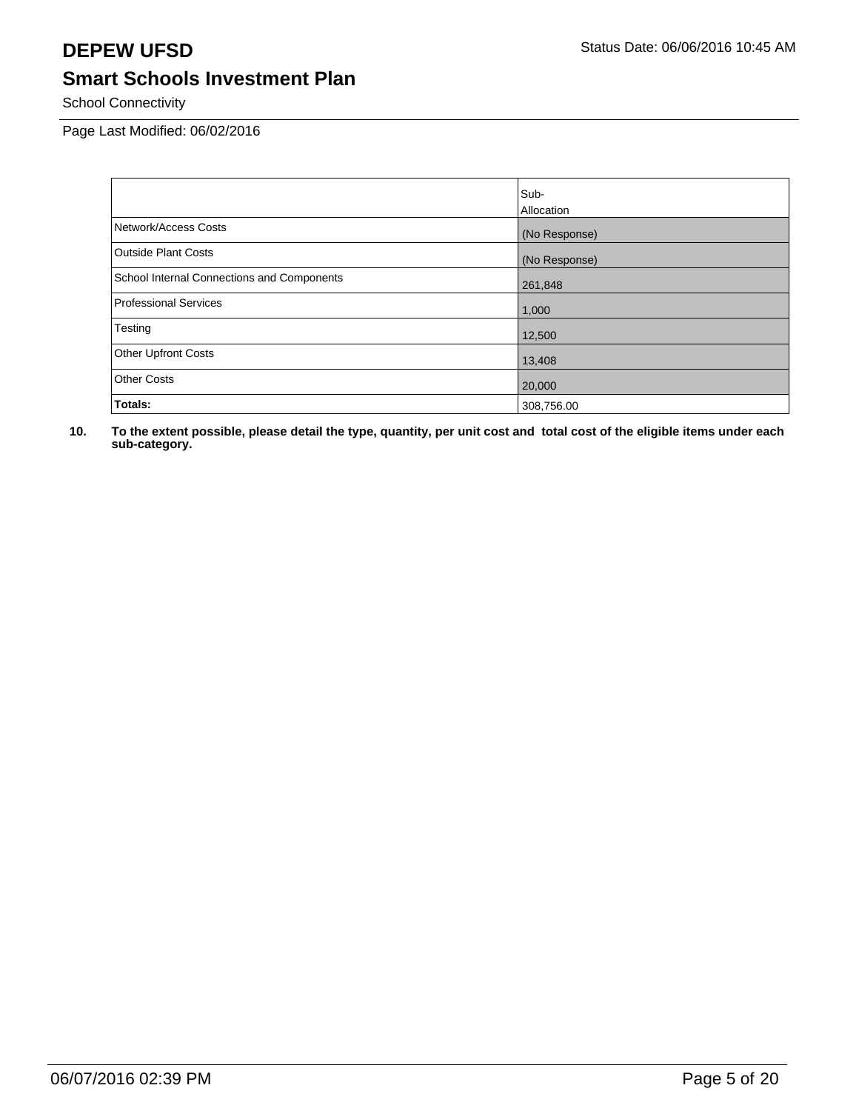School Connectivity

Page Last Modified: 06/02/2016

|                                            | Sub-          |
|--------------------------------------------|---------------|
|                                            | Allocation    |
| Network/Access Costs                       | (No Response) |
| <b>Outside Plant Costs</b>                 | (No Response) |
| School Internal Connections and Components | 261,848       |
| <b>Professional Services</b>               | 1,000         |
| Testing                                    | 12,500        |
| <b>Other Upfront Costs</b>                 | 13,408        |
| <b>Other Costs</b>                         | 20,000        |
| Totals:                                    | 308,756.00    |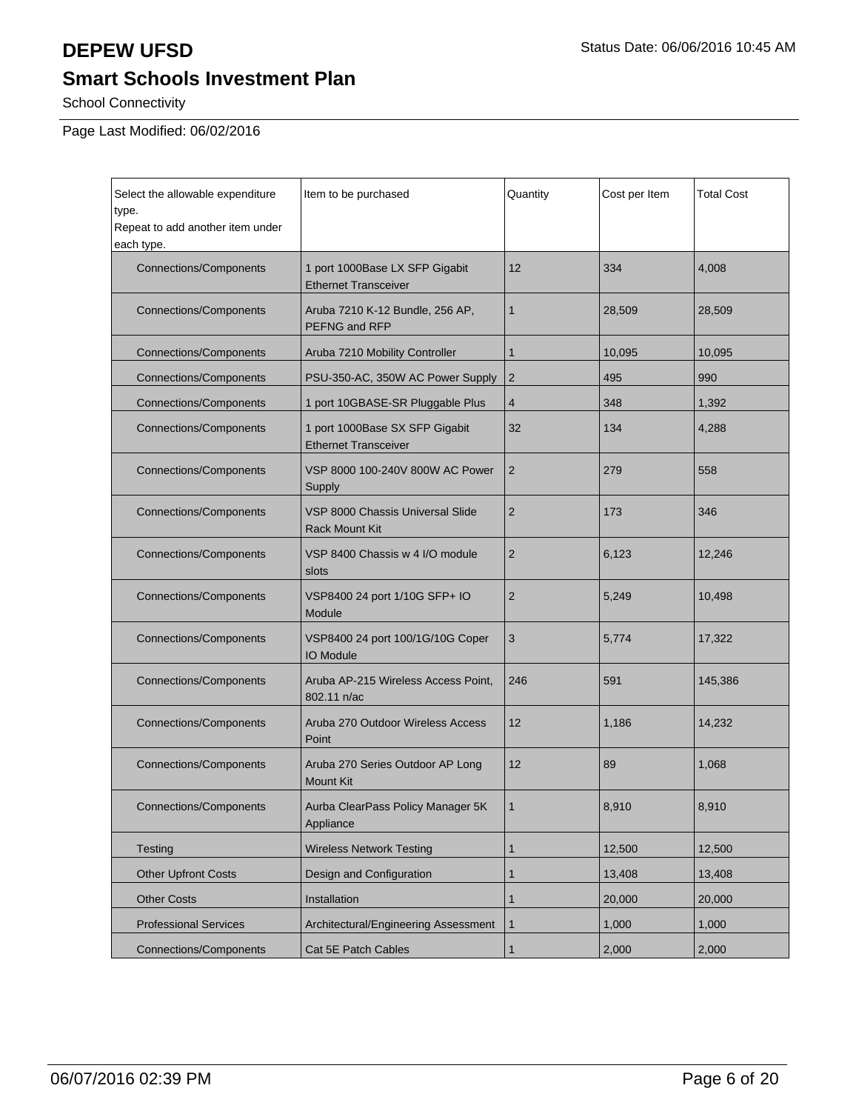School Connectivity

Page Last Modified: 06/02/2016

| Select the allowable expenditure<br>type.      | Item to be purchased                                          | Quantity       | Cost per Item | <b>Total Cost</b> |
|------------------------------------------------|---------------------------------------------------------------|----------------|---------------|-------------------|
| Repeat to add another item under<br>each type. |                                                               |                |               |                   |
| <b>Connections/Components</b>                  | 1 port 1000Base LX SFP Gigabit<br><b>Ethernet Transceiver</b> | 12             | 334           | 4,008             |
| <b>Connections/Components</b>                  | Aruba 7210 K-12 Bundle, 256 AP,<br>PEFNG and RFP              | $\mathbf{1}$   | 28,509        | 28,509            |
| <b>Connections/Components</b>                  | Aruba 7210 Mobility Controller                                | $\mathbf{1}$   | 10,095        | 10,095            |
| <b>Connections/Components</b>                  | PSU-350-AC, 350W AC Power Supply                              | $\overline{2}$ | 495           | 990               |
| <b>Connections/Components</b>                  | 1 port 10GBASE-SR Pluggable Plus                              | 4              | 348           | 1,392             |
| <b>Connections/Components</b>                  | 1 port 1000Base SX SFP Gigabit<br><b>Ethernet Transceiver</b> | 32             | 134           | 4,288             |
| <b>Connections/Components</b>                  | VSP 8000 100-240V 800W AC Power<br>Supply                     | $\overline{2}$ | 279           | 558               |
| <b>Connections/Components</b>                  | VSP 8000 Chassis Universal Slide<br><b>Rack Mount Kit</b>     |                | 173           | 346               |
| <b>Connections/Components</b>                  | VSP 8400 Chassis w 4 I/O module<br>slots                      | $\overline{2}$ | 6,123         | 12,246            |
| <b>Connections/Components</b>                  | VSP8400 24 port 1/10G SFP+ IO<br>Module                       | $\overline{2}$ | 5,249         | 10,498            |
| <b>Connections/Components</b>                  | VSP8400 24 port 100/1G/10G Coper<br><b>IO Module</b>          | 3              | 5,774         | 17,322            |
| <b>Connections/Components</b>                  | Aruba AP-215 Wireless Access Point,<br>802.11 n/ac            | 246            | 591           | 145,386           |
| <b>Connections/Components</b>                  | Aruba 270 Outdoor Wireless Access<br>Point                    | 12             | 1,186         | 14,232            |
| <b>Connections/Components</b>                  | Aruba 270 Series Outdoor AP Long<br><b>Mount Kit</b>          | 12             | 89            | 1,068             |
| Connections/Components                         | Aurba ClearPass Policy Manager 5K<br>Appliance                |                | 8,910         | 8,910             |
| Testing                                        | <b>Wireless Network Testing</b>                               | $\mathbf{1}$   | 12,500        | 12,500            |
| <b>Other Upfront Costs</b>                     | Design and Configuration                                      | $\mathbf{1}$   | 13,408        | 13,408            |
| <b>Other Costs</b>                             | Installation                                                  | $\mathbf{1}$   | 20,000        | 20,000            |
| <b>Professional Services</b>                   | Architectural/Engineering Assessment                          | $\mathbf{1}$   | 1,000         | 1,000             |
| <b>Connections/Components</b>                  | Cat 5E Patch Cables                                           | $\mathbf{1}$   | 2,000         | 2,000             |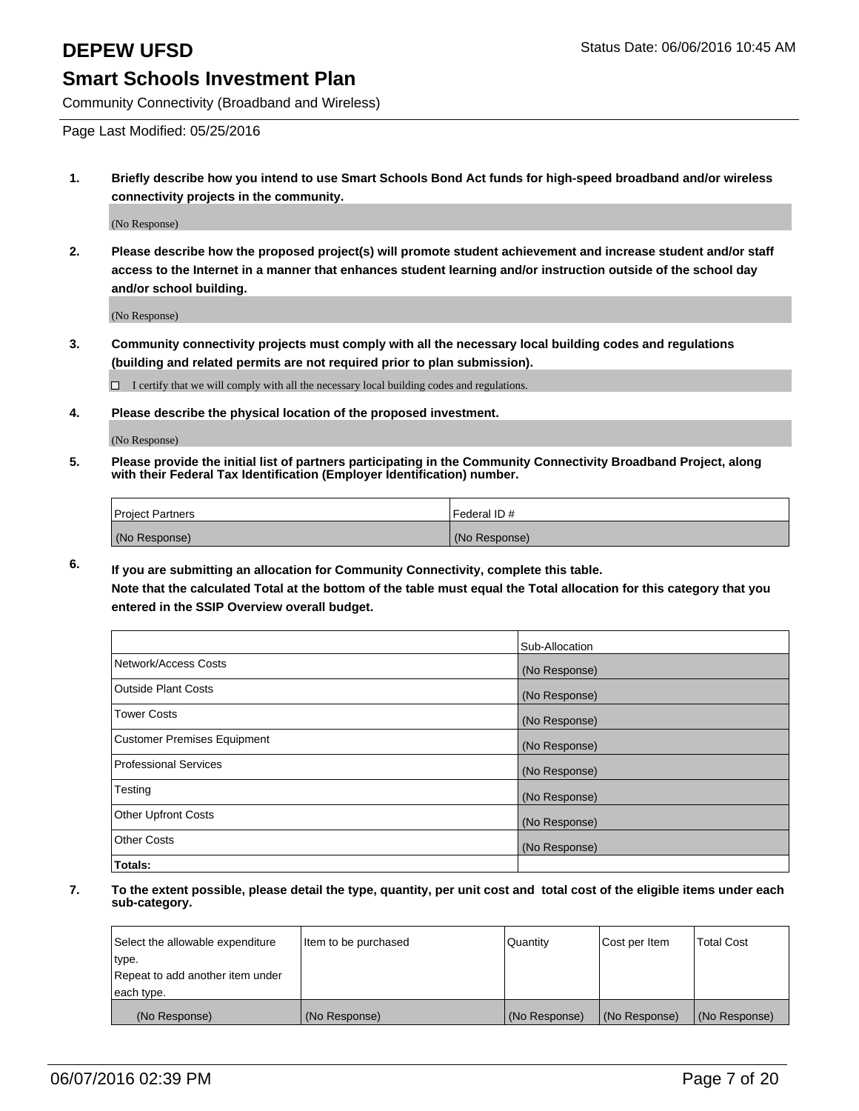Community Connectivity (Broadband and Wireless)

Page Last Modified: 05/25/2016

**1. Briefly describe how you intend to use Smart Schools Bond Act funds for high-speed broadband and/or wireless connectivity projects in the community.**

(No Response)

**2. Please describe how the proposed project(s) will promote student achievement and increase student and/or staff access to the Internet in a manner that enhances student learning and/or instruction outside of the school day and/or school building.**

(No Response)

**3. Community connectivity projects must comply with all the necessary local building codes and regulations (building and related permits are not required prior to plan submission).**

 $\Box$  I certify that we will comply with all the necessary local building codes and regulations.

**4. Please describe the physical location of the proposed investment.**

(No Response)

**5. Please provide the initial list of partners participating in the Community Connectivity Broadband Project, along with their Federal Tax Identification (Employer Identification) number.**

| Project Partners | I Federal ID # |
|------------------|----------------|
| (No Response)    | (No Response)  |

**6. If you are submitting an allocation for Community Connectivity, complete this table.**

**Note that the calculated Total at the bottom of the table must equal the Total allocation for this category that you entered in the SSIP Overview overall budget.**

|                             | Sub-Allocation |
|-----------------------------|----------------|
| Network/Access Costs        | (No Response)  |
| Outside Plant Costs         | (No Response)  |
| <b>Tower Costs</b>          | (No Response)  |
| Customer Premises Equipment | (No Response)  |
| Professional Services       | (No Response)  |
| Testing                     | (No Response)  |
| Other Upfront Costs         | (No Response)  |
| Other Costs                 | (No Response)  |
| Totals:                     |                |

| Select the allowable expenditure | Item to be purchased | Quantity      | Cost per Item | <b>Total Cost</b> |
|----------------------------------|----------------------|---------------|---------------|-------------------|
| type.                            |                      |               |               |                   |
| Repeat to add another item under |                      |               |               |                   |
| each type.                       |                      |               |               |                   |
| (No Response)                    | (No Response)        | (No Response) | (No Response) | (No Response)     |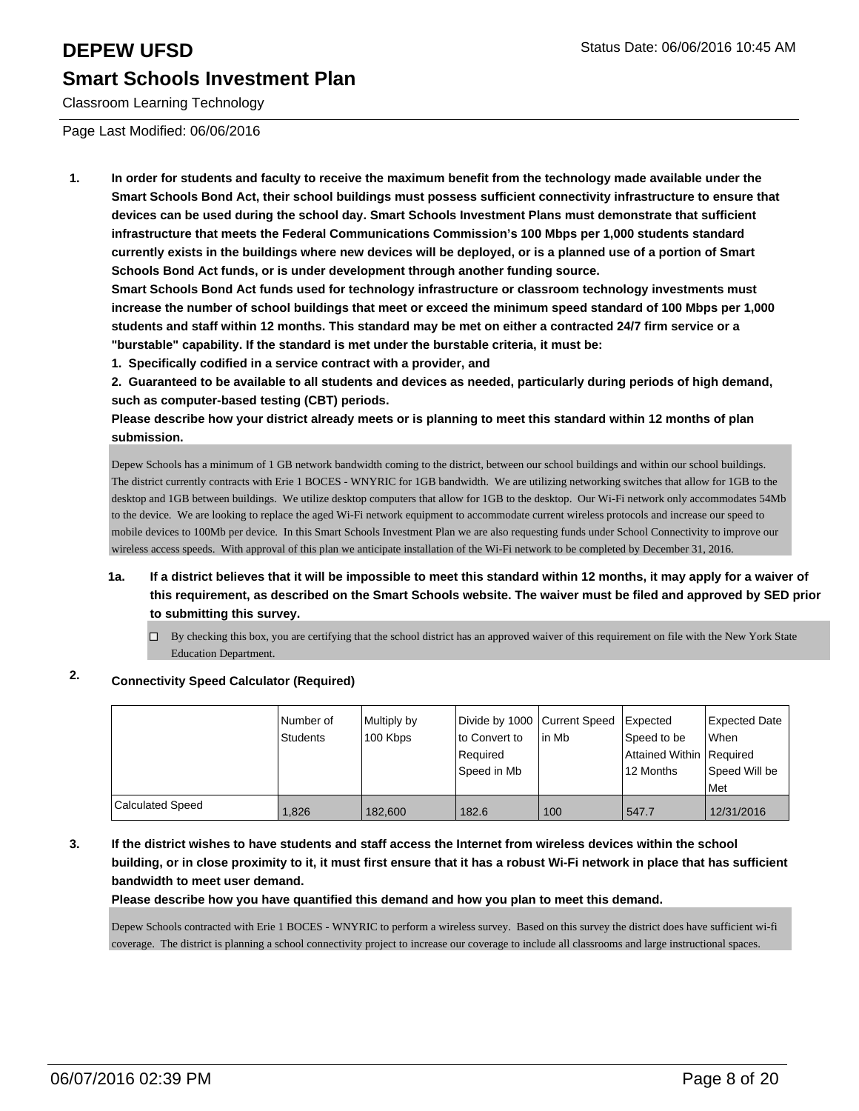Classroom Learning Technology

Page Last Modified: 06/06/2016

**1. In order for students and faculty to receive the maximum benefit from the technology made available under the Smart Schools Bond Act, their school buildings must possess sufficient connectivity infrastructure to ensure that devices can be used during the school day. Smart Schools Investment Plans must demonstrate that sufficient infrastructure that meets the Federal Communications Commission's 100 Mbps per 1,000 students standard currently exists in the buildings where new devices will be deployed, or is a planned use of a portion of Smart Schools Bond Act funds, or is under development through another funding source.**

**Smart Schools Bond Act funds used for technology infrastructure or classroom technology investments must increase the number of school buildings that meet or exceed the minimum speed standard of 100 Mbps per 1,000 students and staff within 12 months. This standard may be met on either a contracted 24/7 firm service or a "burstable" capability. If the standard is met under the burstable criteria, it must be:**

**1. Specifically codified in a service contract with a provider, and**

**2. Guaranteed to be available to all students and devices as needed, particularly during periods of high demand, such as computer-based testing (CBT) periods.**

**Please describe how your district already meets or is planning to meet this standard within 12 months of plan submission.**

Depew Schools has a minimum of 1 GB network bandwidth coming to the district, between our school buildings and within our school buildings. The district currently contracts with Erie 1 BOCES - WNYRIC for 1GB bandwidth. We are utilizing networking switches that allow for 1GB to the desktop and 1GB between buildings. We utilize desktop computers that allow for 1GB to the desktop. Our Wi-Fi network only accommodates 54Mb to the device. We are looking to replace the aged Wi-Fi network equipment to accommodate current wireless protocols and increase our speed to mobile devices to 100Mb per device. In this Smart Schools Investment Plan we are also requesting funds under School Connectivity to improve our wireless access speeds. With approval of this plan we anticipate installation of the Wi-Fi network to be completed by December 31, 2016.

### **1a. If a district believes that it will be impossible to meet this standard within 12 months, it may apply for a waiver of this requirement, as described on the Smart Schools website. The waiver must be filed and approved by SED prior to submitting this survey.**

 $\Box$  By checking this box, you are certifying that the school district has an approved waiver of this requirement on file with the New York State Education Department.

### **2. Connectivity Speed Calculator (Required)**

|                         | Number of<br>Students | Multiply by<br>100 Kbps | Divide by 1000 Current Speed<br>lto Convert to<br>Required<br> Speed in Mb | lin Mb | <b>Expected</b><br>Speed to be<br>Attained Within   Required<br>12 Months | Expected Date<br>lWhen<br>Speed Will be<br><b>Met</b> |
|-------------------------|-----------------------|-------------------------|----------------------------------------------------------------------------|--------|---------------------------------------------------------------------------|-------------------------------------------------------|
| <b>Calculated Speed</b> | 1.826                 | 182,600                 | 182.6                                                                      | 100    | 547.7                                                                     | 12/31/2016                                            |

**3. If the district wishes to have students and staff access the Internet from wireless devices within the school building, or in close proximity to it, it must first ensure that it has a robust Wi-Fi network in place that has sufficient bandwidth to meet user demand.**

**Please describe how you have quantified this demand and how you plan to meet this demand.**

Depew Schools contracted with Erie 1 BOCES - WNYRIC to perform a wireless survey. Based on this survey the district does have sufficient wi-fi coverage. The district is planning a school connectivity project to increase our coverage to include all classrooms and large instructional spaces.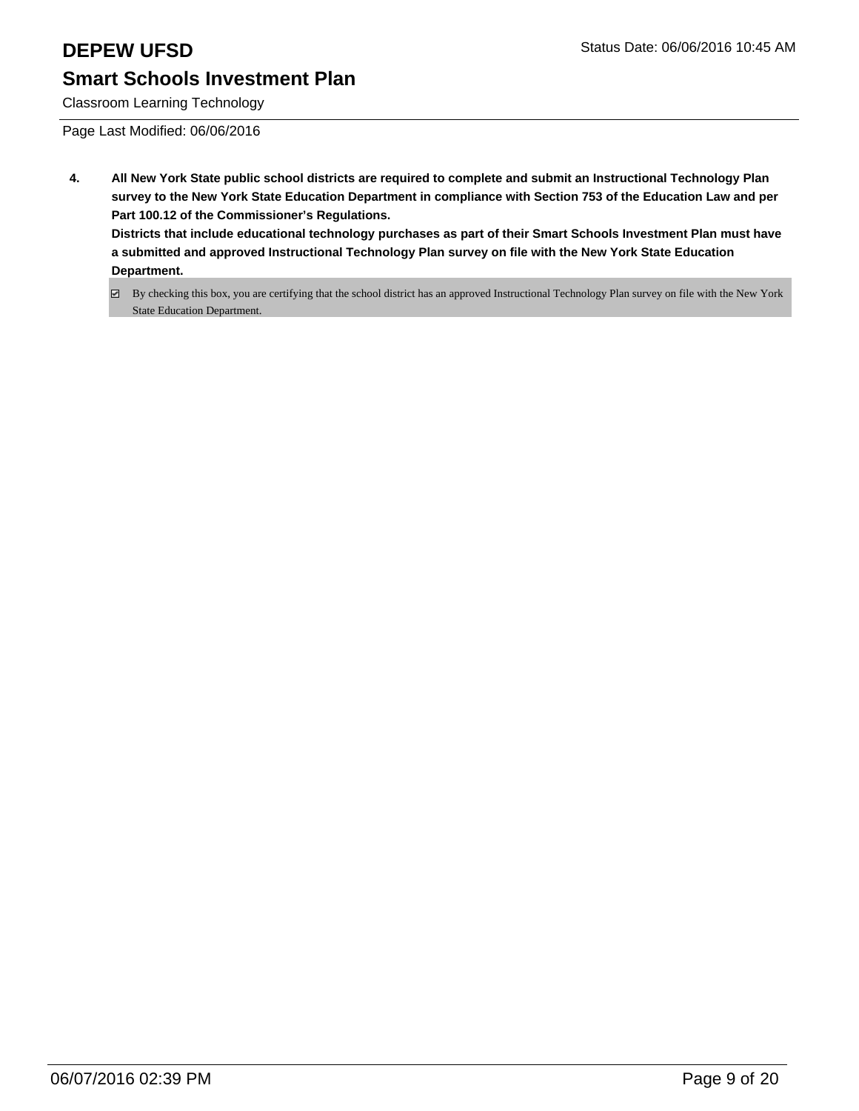Classroom Learning Technology

Page Last Modified: 06/06/2016

- **4. All New York State public school districts are required to complete and submit an Instructional Technology Plan survey to the New York State Education Department in compliance with Section 753 of the Education Law and per Part 100.12 of the Commissioner's Regulations. Districts that include educational technology purchases as part of their Smart Schools Investment Plan must have a submitted and approved Instructional Technology Plan survey on file with the New York State Education Department.**
	- By checking this box, you are certifying that the school district has an approved Instructional Technology Plan survey on file with the New York State Education Department.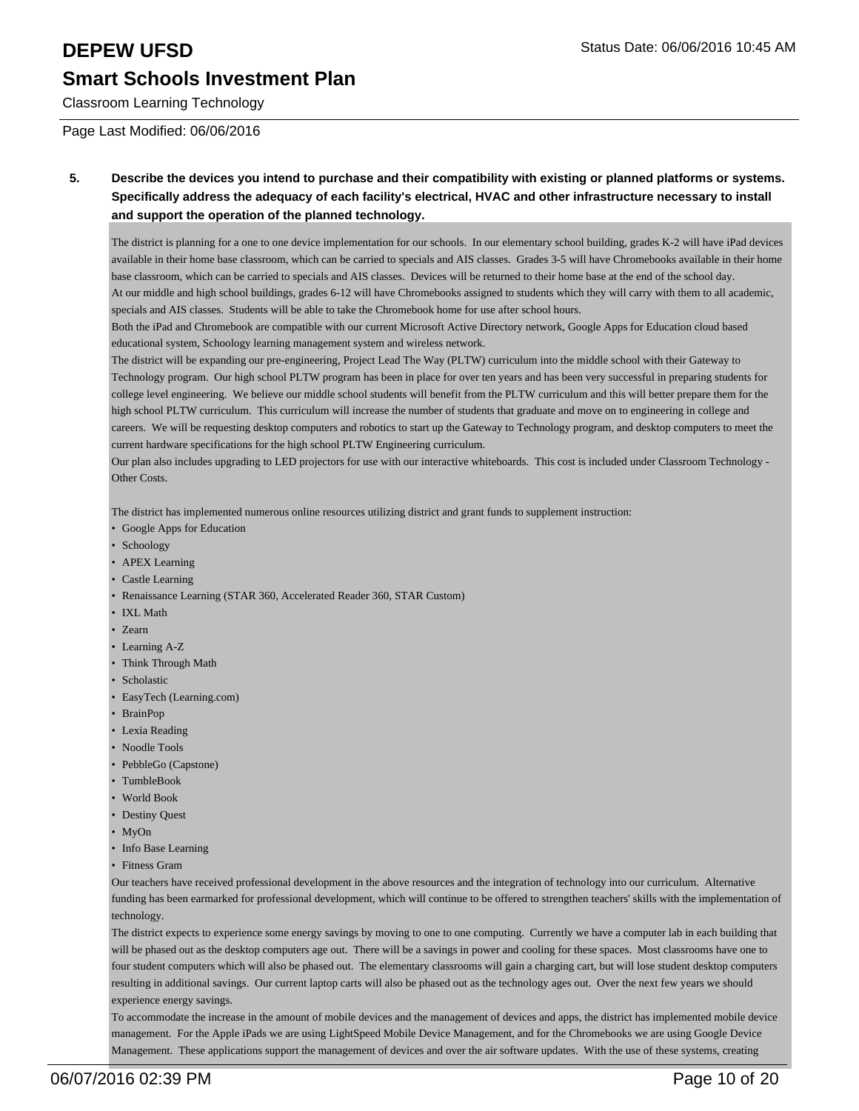Classroom Learning Technology

Page Last Modified: 06/06/2016

**5. Describe the devices you intend to purchase and their compatibility with existing or planned platforms or systems. Specifically address the adequacy of each facility's electrical, HVAC and other infrastructure necessary to install and support the operation of the planned technology.**

The district is planning for a one to one device implementation for our schools. In our elementary school building, grades K-2 will have iPad devices available in their home base classroom, which can be carried to specials and AIS classes. Grades 3-5 will have Chromebooks available in their home base classroom, which can be carried to specials and AIS classes. Devices will be returned to their home base at the end of the school day. At our middle and high school buildings, grades 6-12 will have Chromebooks assigned to students which they will carry with them to all academic, specials and AIS classes. Students will be able to take the Chromebook home for use after school hours.

Both the iPad and Chromebook are compatible with our current Microsoft Active Directory network, Google Apps for Education cloud based educational system, Schoology learning management system and wireless network.

The district will be expanding our pre-engineering, Project Lead The Way (PLTW) curriculum into the middle school with their Gateway to Technology program. Our high school PLTW program has been in place for over ten years and has been very successful in preparing students for college level engineering. We believe our middle school students will benefit from the PLTW curriculum and this will better prepare them for the high school PLTW curriculum. This curriculum will increase the number of students that graduate and move on to engineering in college and careers. We will be requesting desktop computers and robotics to start up the Gateway to Technology program, and desktop computers to meet the current hardware specifications for the high school PLTW Engineering curriculum.

Our plan also includes upgrading to LED projectors for use with our interactive whiteboards. This cost is included under Classroom Technology - Other Costs.

The district has implemented numerous online resources utilizing district and grant funds to supplement instruction:

- Google Apps for Education
- Schoology
- APEX Learning
- Castle Learning
- Renaissance Learning (STAR 360, Accelerated Reader 360, STAR Custom)
- IXL Math
- Zearn
- Learning A-Z
- Think Through Math
- Scholastic
- EasyTech (Learning.com)
- BrainPop
- Lexia Reading
- Noodle Tools
- PebbleGo (Capstone)
- TumbleBook
- World Book
- Destiny Quest
- MyOn
- Info Base Learning
- Fitness Gram

Our teachers have received professional development in the above resources and the integration of technology into our curriculum. Alternative funding has been earmarked for professional development, which will continue to be offered to strengthen teachers' skills with the implementation of technology.

The district expects to experience some energy savings by moving to one to one computing. Currently we have a computer lab in each building that will be phased out as the desktop computers age out. There will be a savings in power and cooling for these spaces. Most classrooms have one to four student computers which will also be phased out. The elementary classrooms will gain a charging cart, but will lose student desktop computers resulting in additional savings. Our current laptop carts will also be phased out as the technology ages out. Over the next few years we should experience energy savings.

To accommodate the increase in the amount of mobile devices and the management of devices and apps, the district has implemented mobile device management. For the Apple iPads we are using LightSpeed Mobile Device Management, and for the Chromebooks we are using Google Device Management. These applications support the management of devices and over the air software updates. With the use of these systems, creating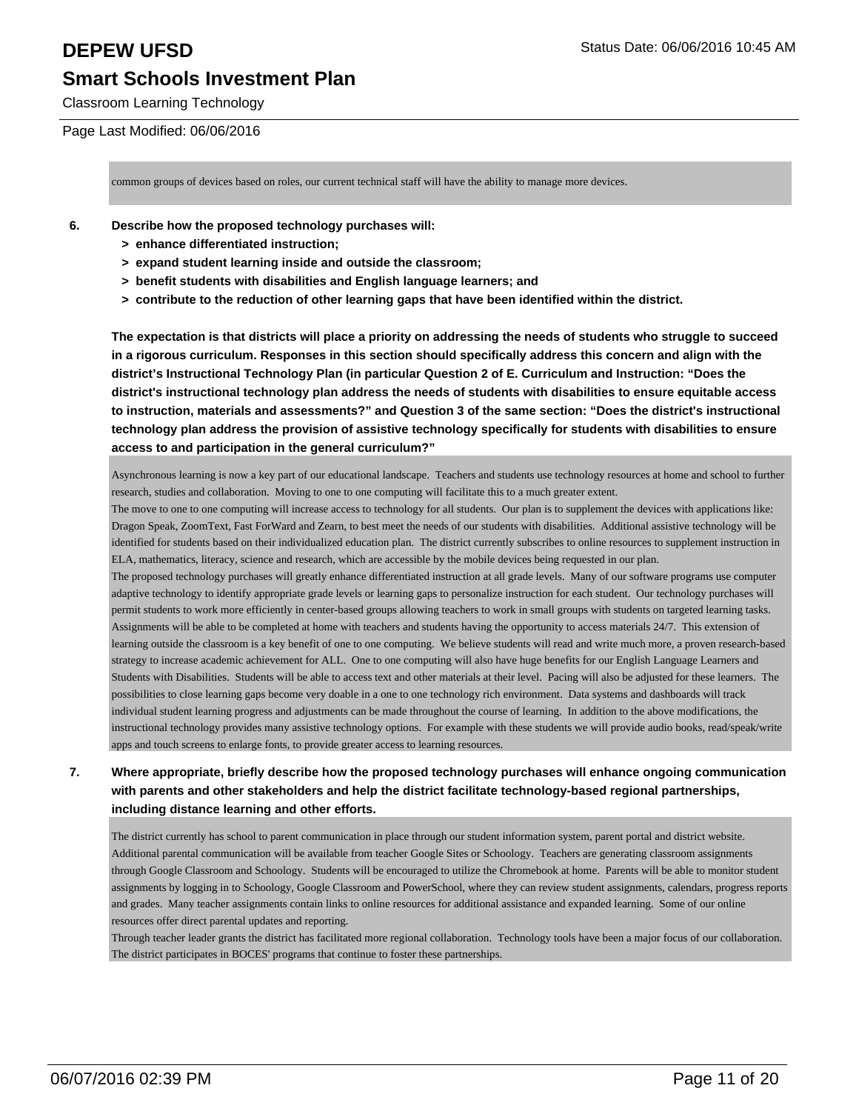Classroom Learning Technology

### Page Last Modified: 06/06/2016

common groups of devices based on roles, our current technical staff will have the ability to manage more devices.

### **6. Describe how the proposed technology purchases will:**

- **> enhance differentiated instruction;**
- **> expand student learning inside and outside the classroom;**
- **> benefit students with disabilities and English language learners; and**
- **> contribute to the reduction of other learning gaps that have been identified within the district.**

**The expectation is that districts will place a priority on addressing the needs of students who struggle to succeed in a rigorous curriculum. Responses in this section should specifically address this concern and align with the district's Instructional Technology Plan (in particular Question 2 of E. Curriculum and Instruction: "Does the district's instructional technology plan address the needs of students with disabilities to ensure equitable access to instruction, materials and assessments?" and Question 3 of the same section: "Does the district's instructional technology plan address the provision of assistive technology specifically for students with disabilities to ensure access to and participation in the general curriculum?"**

Asynchronous learning is now a key part of our educational landscape. Teachers and students use technology resources at home and school to further research, studies and collaboration. Moving to one to one computing will facilitate this to a much greater extent.

The move to one to one computing will increase access to technology for all students. Our plan is to supplement the devices with applications like: Dragon Speak, ZoomText, Fast ForWard and Zearn, to best meet the needs of our students with disabilities. Additional assistive technology will be identified for students based on their individualized education plan. The district currently subscribes to online resources to supplement instruction in ELA, mathematics, literacy, science and research, which are accessible by the mobile devices being requested in our plan.

The proposed technology purchases will greatly enhance differentiated instruction at all grade levels. Many of our software programs use computer adaptive technology to identify appropriate grade levels or learning gaps to personalize instruction for each student. Our technology purchases will permit students to work more efficiently in center-based groups allowing teachers to work in small groups with students on targeted learning tasks. Assignments will be able to be completed at home with teachers and students having the opportunity to access materials 24/7. This extension of learning outside the classroom is a key benefit of one to one computing. We believe students will read and write much more, a proven research-based strategy to increase academic achievement for ALL. One to one computing will also have huge benefits for our English Language Learners and Students with Disabilities. Students will be able to access text and other materials at their level. Pacing will also be adjusted for these learners. The possibilities to close learning gaps become very doable in a one to one technology rich environment. Data systems and dashboards will track individual student learning progress and adjustments can be made throughout the course of learning. In addition to the above modifications, the instructional technology provides many assistive technology options. For example with these students we will provide audio books, read/speak/write apps and touch screens to enlarge fonts, to provide greater access to learning resources.

### **7. Where appropriate, briefly describe how the proposed technology purchases will enhance ongoing communication with parents and other stakeholders and help the district facilitate technology-based regional partnerships, including distance learning and other efforts.**

The district currently has school to parent communication in place through our student information system, parent portal and district website. Additional parental communication will be available from teacher Google Sites or Schoology. Teachers are generating classroom assignments through Google Classroom and Schoology. Students will be encouraged to utilize the Chromebook at home. Parents will be able to monitor student assignments by logging in to Schoology, Google Classroom and PowerSchool, where they can review student assignments, calendars, progress reports and grades. Many teacher assignments contain links to online resources for additional assistance and expanded learning. Some of our online resources offer direct parental updates and reporting.

Through teacher leader grants the district has facilitated more regional collaboration. Technology tools have been a major focus of our collaboration. The district participates in BOCES' programs that continue to foster these partnerships.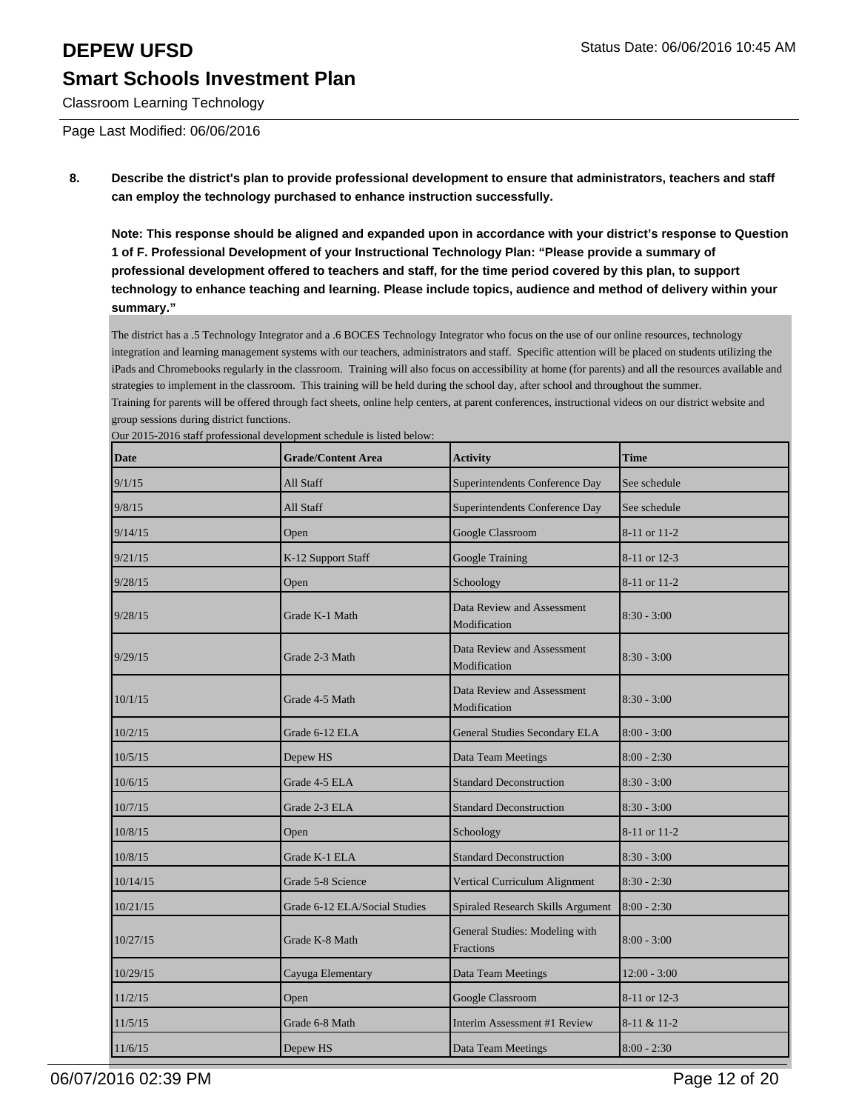group sessions during district functions.

Classroom Learning Technology

Page Last Modified: 06/06/2016

**8. Describe the district's plan to provide professional development to ensure that administrators, teachers and staff can employ the technology purchased to enhance instruction successfully.**

**Note: This response should be aligned and expanded upon in accordance with your district's response to Question 1 of F. Professional Development of your Instructional Technology Plan: "Please provide a summary of professional development offered to teachers and staff, for the time period covered by this plan, to support technology to enhance teaching and learning. Please include topics, audience and method of delivery within your summary."**

The district has a .5 Technology Integrator and a .6 BOCES Technology Integrator who focus on the use of our online resources, technology integration and learning management systems with our teachers, administrators and staff. Specific attention will be placed on students utilizing the iPads and Chromebooks regularly in the classroom. Training will also focus on accessibility at home (for parents) and all the resources available and strategies to implement in the classroom. This training will be held during the school day, after school and throughout the summer. Training for parents will be offered through fact sheets, online help centers, at parent conferences, instructional videos on our district website and

| Date     | <b>Grade/Content Area</b>     | <b>Activity</b>                                    | Time           |
|----------|-------------------------------|----------------------------------------------------|----------------|
| 9/1/15   | All Staff                     | Superintendents Conference Day                     | See schedule   |
| 9/8/15   | All Staff                     | Superintendents Conference Day                     | See schedule   |
| 9/14/15  | Open                          | Google Classroom                                   | 8-11 or 11-2   |
| 9/21/15  | K-12 Support Staff            | Google Training                                    | 8-11 or 12-3   |
| 9/28/15  | Open                          | Schoology                                          | 8-11 or 11-2   |
| 9/28/15  | Grade K-1 Math                | Data Review and Assessment<br>Modification         | $8:30 - 3:00$  |
| 9/29/15  | Grade 2-3 Math                | Data Review and Assessment<br>Modification         | 8:30 - 3:00    |
| 10/1/15  | Grade 4-5 Math                | Data Review and Assessment<br>Modification         | $8:30 - 3:00$  |
| 10/2/15  | Grade 6-12 ELA                | General Studies Secondary ELA                      | $8:00 - 3:00$  |
| 10/5/15  | Depew HS                      | Data Team Meetings                                 | $8:00 - 2:30$  |
| 10/6/15  | Grade 4-5 ELA                 | <b>Standard Deconstruction</b>                     | $8:30 - 3:00$  |
| 10/7/15  | Grade 2-3 ELA                 | <b>Standard Deconstruction</b>                     | $8:30 - 3:00$  |
| 10/8/15  | Open                          | Schoology                                          | 8-11 or 11-2   |
| 10/8/15  | Grade K-1 ELA                 | <b>Standard Deconstruction</b>                     | $8:30 - 3:00$  |
| 10/14/15 | Grade 5-8 Science             | Vertical Curriculum Alignment                      | $8:30 - 2:30$  |
| 10/21/15 | Grade 6-12 ELA/Social Studies | Spiraled Research Skills Argument                  | $8:00 - 2:30$  |
| 10/27/15 | Grade K-8 Math                | General Studies: Modeling with<br><b>Fractions</b> | $8:00 - 3:00$  |
| 10/29/15 | Cayuga Elementary             | Data Team Meetings                                 | $12:00 - 3:00$ |
| 11/2/15  | Open                          | Google Classroom                                   | 8-11 or 12-3   |
| 11/5/15  | Grade 6-8 Math                | Interim Assessment #1 Review                       | 8-11 & 11-2    |
| 11/6/15  | Depew HS                      | Data Team Meetings                                 | $8:00 - 2:30$  |

Our 2015-2016 staff professional development schedule is listed below: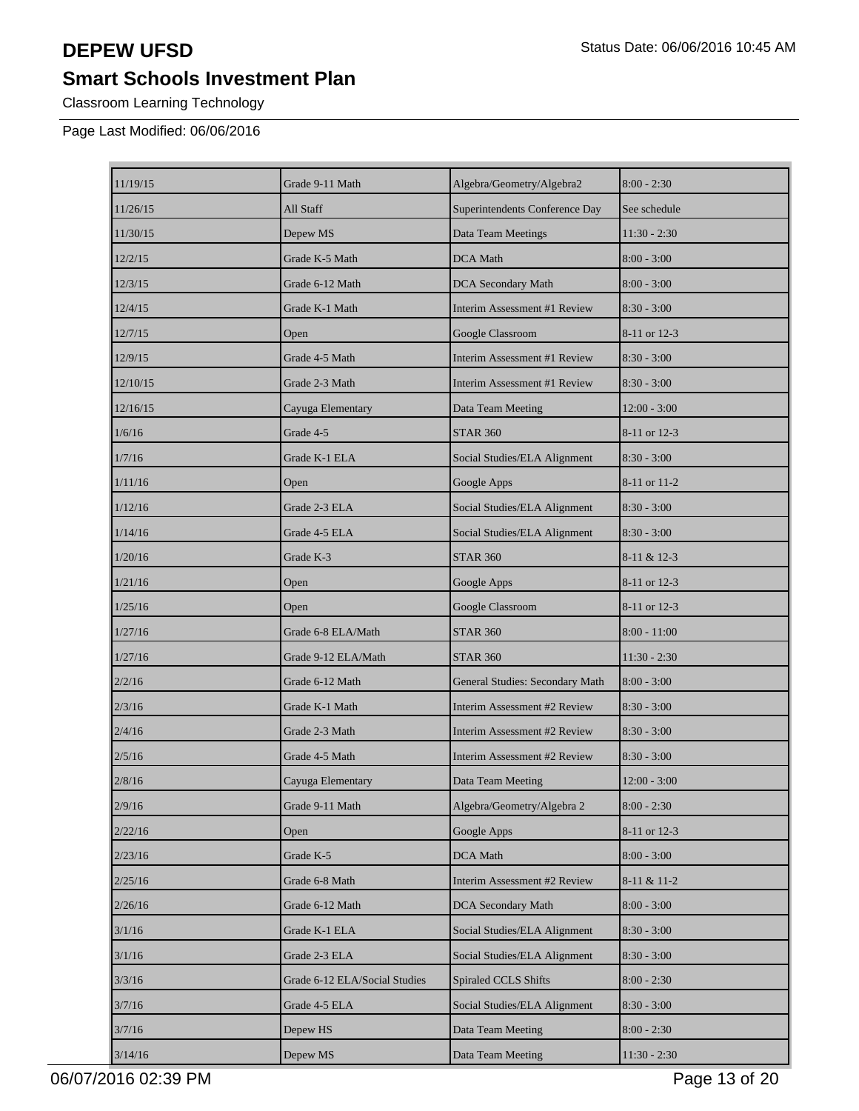Classroom Learning Technology

Page Last Modified: 06/06/2016

| 11/19/15 | Grade 9-11 Math               | Algebra/Geometry/Algebra2       | $8:00 - 2:30$  |
|----------|-------------------------------|---------------------------------|----------------|
| 11/26/15 | All Staff                     | Superintendents Conference Day  | See schedule   |
| 11/30/15 | Depew MS                      | Data Team Meetings              | 11:30 - 2:30   |
| 12/2/15  | Grade K-5 Math                | <b>DCA</b> Math                 | $8:00 - 3:00$  |
| 12/3/15  | Grade 6-12 Math               | <b>DCA Secondary Math</b>       | $8:00 - 3:00$  |
| 12/4/15  | Grade K-1 Math                | Interim Assessment #1 Review    | $8:30 - 3:00$  |
| 12/7/15  | Open                          | Google Classroom                | 8-11 or 12-3   |
| 12/9/15  | Grade 4-5 Math                | Interim Assessment #1 Review    | $8:30 - 3:00$  |
| 12/10/15 | Grade 2-3 Math                | Interim Assessment #1 Review    | $8:30 - 3:00$  |
| 12/16/15 | Cayuga Elementary             | Data Team Meeting               | $12:00 - 3:00$ |
| 1/6/16   | Grade 4-5                     | <b>STAR 360</b>                 | 8-11 or 12-3   |
| 1/7/16   | Grade K-1 ELA                 | Social Studies/ELA Alignment    | $8:30 - 3:00$  |
| 1/11/16  | Open                          | Google Apps                     | 8-11 or 11-2   |
| 1/12/16  | Grade 2-3 ELA                 | Social Studies/ELA Alignment    | $8:30 - 3:00$  |
| 1/14/16  | Grade 4-5 ELA                 | Social Studies/ELA Alignment    | $8:30 - 3:00$  |
| 1/20/16  | Grade K-3                     | <b>STAR 360</b>                 | 8-11 & 12-3    |
| 1/21/16  | Open                          | Google Apps                     | 8-11 or 12-3   |
| 1/25/16  | Open                          | Google Classroom                | 8-11 or 12-3   |
| 1/27/16  | Grade 6-8 ELA/Math            | <b>STAR 360</b>                 | $8:00 - 11:00$ |
| 1/27/16  | Grade 9-12 ELA/Math           | <b>STAR 360</b>                 | $11:30 - 2:30$ |
| 2/2/16   | Grade 6-12 Math               | General Studies: Secondary Math | $8:00 - 3:00$  |
| 2/3/16   | Grade K-1 Math                | Interim Assessment #2 Review    | $8:30 - 3:00$  |
| 2/4/16   | Grade 2-3 Math                | Interim Assessment #2 Review    | $8:30 - 3:00$  |
| 2/5/16   | Grade 4-5 Math                | Interim Assessment #2 Review    | $8:30 - 3:00$  |
| 2/8/16   | Cayuga Elementary             | Data Team Meeting               | 12:00 - 3:00   |
| 2/9/16   | Grade 9-11 Math               | Algebra/Geometry/Algebra 2      | $8:00 - 2:30$  |
| 2/22/16  | Open                          | Google Apps                     | 8-11 or 12-3   |
| 2/23/16  | Grade K-5                     | DCA Math                        | $8:00 - 3:00$  |
| 2/25/16  | Grade 6-8 Math                | Interim Assessment #2 Review    | 8-11 & 11-2    |
| 2/26/16  | Grade 6-12 Math               | DCA Secondary Math              | $8:00 - 3:00$  |
| 3/1/16   | Grade K-1 ELA                 | Social Studies/ELA Alignment    | $8:30 - 3:00$  |
| 3/1/16   | Grade 2-3 ELA                 | Social Studies/ELA Alignment    | $8:30 - 3:00$  |
| 3/3/16   | Grade 6-12 ELA/Social Studies | Spiraled CCLS Shifts            | $8:00 - 2:30$  |
| 3/7/16   | Grade 4-5 ELA                 | Social Studies/ELA Alignment    | $8:30 - 3:00$  |
| 3/7/16   | Depew HS                      | Data Team Meeting               | $8:00 - 2:30$  |
| 3/14/16  | Depew MS                      | Data Team Meeting               | $11:30 - 2:30$ |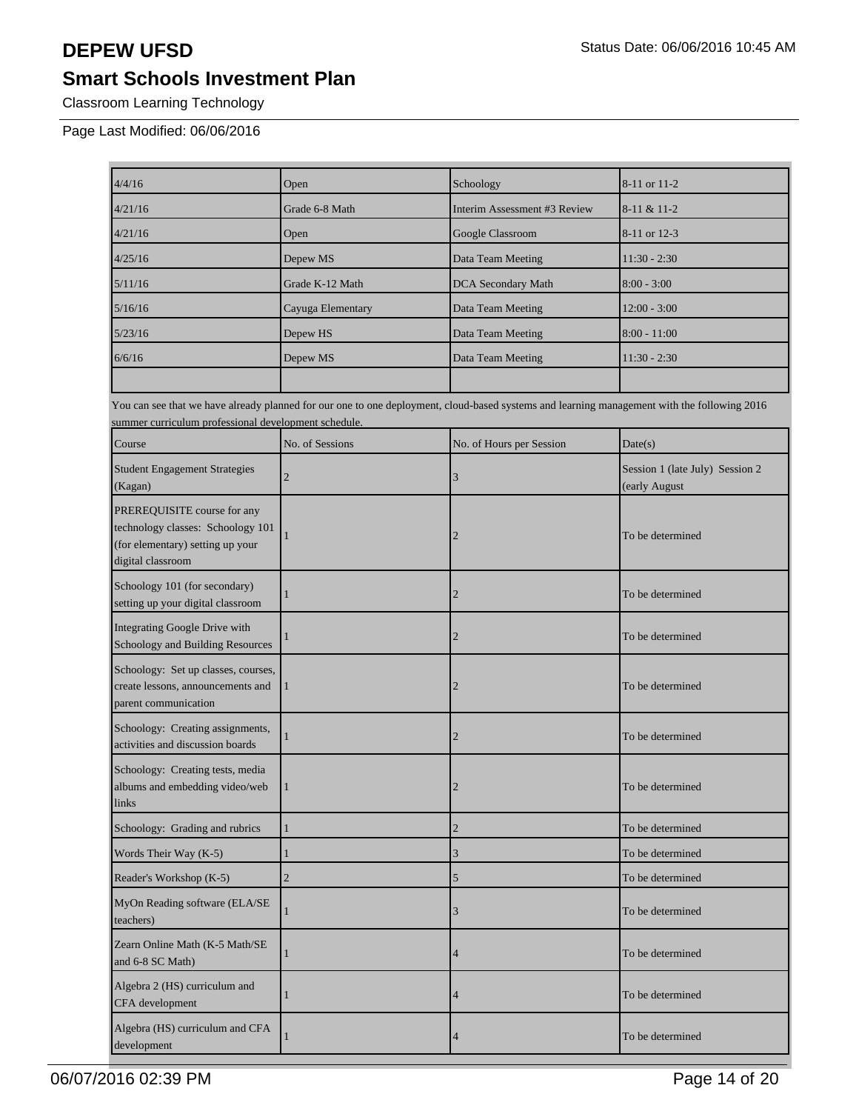Classroom Learning Technology

Page Last Modified: 06/06/2016

| 4/4/16                                                                                                                    | Open              | Schoology                                                                                                                                   | 8-11 or 11-2                                     |
|---------------------------------------------------------------------------------------------------------------------------|-------------------|---------------------------------------------------------------------------------------------------------------------------------------------|--------------------------------------------------|
| 4/21/16                                                                                                                   | Grade 6-8 Math    | Interim Assessment #3 Review                                                                                                                | 8-11 & 11-2                                      |
| 4/21/16                                                                                                                   | Open              | Google Classroom                                                                                                                            | 8-11 or 12-3                                     |
| 4/25/16                                                                                                                   | Depew MS          | Data Team Meeting                                                                                                                           | $11:30 - 2:30$                                   |
| 5/11/16                                                                                                                   | Grade K-12 Math   | <b>DCA</b> Secondary Math                                                                                                                   | $8:00 - 3:00$                                    |
| 5/16/16                                                                                                                   | Cayuga Elementary | Data Team Meeting                                                                                                                           | 12:00 - 3:00                                     |
| 5/23/16                                                                                                                   | Depew HS          | Data Team Meeting                                                                                                                           | $8:00 - 11:00$                                   |
| 6/6/16                                                                                                                    | Depew MS          | Data Team Meeting                                                                                                                           | $11:30 - 2:30$                                   |
| summer curriculum professional development schedule.                                                                      |                   | You can see that we have already planned for our one to one deployment, cloud-based systems and learning management with the following 2016 |                                                  |
| Course                                                                                                                    | No. of Sessions   | No. of Hours per Session                                                                                                                    | Date(s)                                          |
| <b>Student Engagement Strategies</b><br>(Kagan)                                                                           | $\overline{2}$    | 3                                                                                                                                           | Session 1 (late July) Session 2<br>(early August |
| PREREQUISITE course for any<br>technology classes: Schoology 101<br>(for elementary) setting up your<br>digital classroom |                   | 2                                                                                                                                           | To be determined                                 |
| Schoology 101 (for secondary)<br>setting up your digital classroom                                                        |                   | $\overline{2}$                                                                                                                              | To be determined                                 |
| Integrating Google Drive with<br>Schoology and Building Resources                                                         |                   | 2                                                                                                                                           | To be determined                                 |
| Schoology: Set up classes, courses,<br>create lessons, announcements and<br>parent communication                          | 1                 | 2                                                                                                                                           | To be determined                                 |
| Schoology: Creating assignments,<br>activities and discussion boards                                                      |                   | $\overline{2}$                                                                                                                              | To be determined                                 |
| Schoology: Creating tests, media<br>albums and embedding video/web<br>links                                               |                   | 2                                                                                                                                           | To be determined                                 |
| Schoology: Grading and rubrics                                                                                            | $\mathbf{1}$      | $\mathbf{2}$                                                                                                                                | To be determined                                 |
| Words Their Way (K-5)                                                                                                     | 1                 | 3                                                                                                                                           | To be determined                                 |
| Reader's Workshop (K-5)                                                                                                   | $\overline{2}$    | 5                                                                                                                                           | To be determined                                 |
| MyOn Reading software (ELA/SE<br>teachers)                                                                                |                   | 3                                                                                                                                           | To be determined                                 |
| Zearn Online Math (K-5 Math/SE<br>and 6-8 SC Math)                                                                        | 1                 | 4                                                                                                                                           | To be determined                                 |
| Algebra 2 (HS) curriculum and<br>CFA development                                                                          | 1                 | 4                                                                                                                                           | To be determined                                 |
| Algebra (HS) curriculum and CFA<br>development                                                                            |                   | 4                                                                                                                                           | To be determined                                 |

06/07/2016 02:39 PM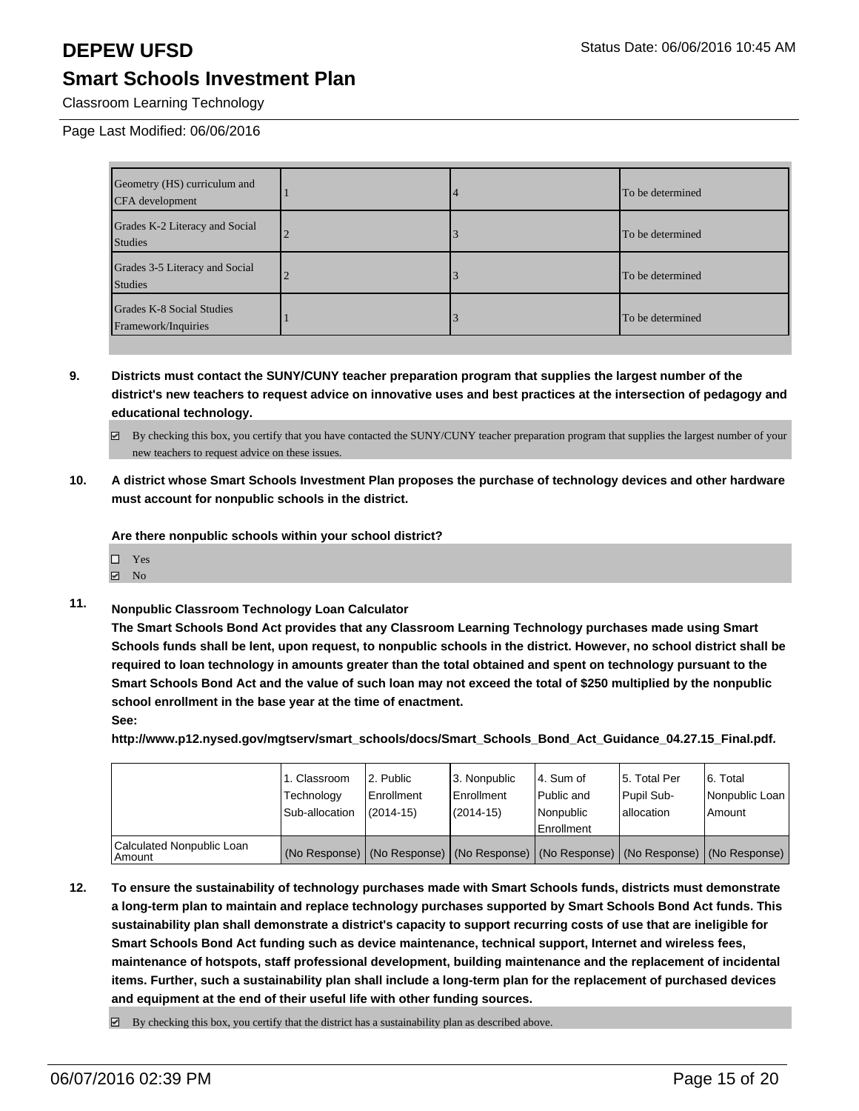Classroom Learning Technology

Page Last Modified: 06/06/2016

| Geometry (HS) curriculum and<br>CFA development  |  | To be determined |
|--------------------------------------------------|--|------------------|
| Grades K-2 Literacy and Social<br>Studies        |  | To be determined |
| Grades 3-5 Literacy and Social<br>Studies        |  | To be determined |
| Grades K-8 Social Studies<br>Framework/Inquiries |  | To be determined |

**9. Districts must contact the SUNY/CUNY teacher preparation program that supplies the largest number of the district's new teachers to request advice on innovative uses and best practices at the intersection of pedagogy and educational technology.**

 $\boxtimes$  By checking this box, you certify that you have contacted the SUNY/CUNY teacher preparation program that supplies the largest number of your new teachers to request advice on these issues.

**10. A district whose Smart Schools Investment Plan proposes the purchase of technology devices and other hardware must account for nonpublic schools in the district.**

**Are there nonpublic schools within your school district?**

- □ Yes
- $\boxtimes$  No
- **11. Nonpublic Classroom Technology Loan Calculator**

**The Smart Schools Bond Act provides that any Classroom Learning Technology purchases made using Smart Schools funds shall be lent, upon request, to nonpublic schools in the district. However, no school district shall be required to loan technology in amounts greater than the total obtained and spent on technology pursuant to the Smart Schools Bond Act and the value of such loan may not exceed the total of \$250 multiplied by the nonpublic school enrollment in the base year at the time of enactment.**

**See:**

**http://www.p12.nysed.gov/mgtserv/smart\_schools/docs/Smart\_Schools\_Bond\_Act\_Guidance\_04.27.15\_Final.pdf.**

|                                       | 1. Classroom<br>Technology<br>Sub-allocation | 2. Public<br>Enrollment<br>$(2014 - 15)$ | 3. Nonpublic<br>Enrollment<br>(2014-15) | l 4. Sum of<br>l Public and<br>l Nonpublic<br><b>Enrollment</b>                               | 15. Total Per<br>Pupil Sub-<br>lallocation | 16. Total<br>Nonpublic Loan<br>Amount |
|---------------------------------------|----------------------------------------------|------------------------------------------|-----------------------------------------|-----------------------------------------------------------------------------------------------|--------------------------------------------|---------------------------------------|
| Calculated Nonpublic Loan<br>  Amount |                                              |                                          |                                         | (No Response)   (No Response)   (No Response)   (No Response)   (No Response)   (No Response) |                                            |                                       |

- **12. To ensure the sustainability of technology purchases made with Smart Schools funds, districts must demonstrate a long-term plan to maintain and replace technology purchases supported by Smart Schools Bond Act funds. This sustainability plan shall demonstrate a district's capacity to support recurring costs of use that are ineligible for Smart Schools Bond Act funding such as device maintenance, technical support, Internet and wireless fees, maintenance of hotspots, staff professional development, building maintenance and the replacement of incidental items. Further, such a sustainability plan shall include a long-term plan for the replacement of purchased devices and equipment at the end of their useful life with other funding sources.**
	- $\boxtimes$  By checking this box, you certify that the district has a sustainability plan as described above.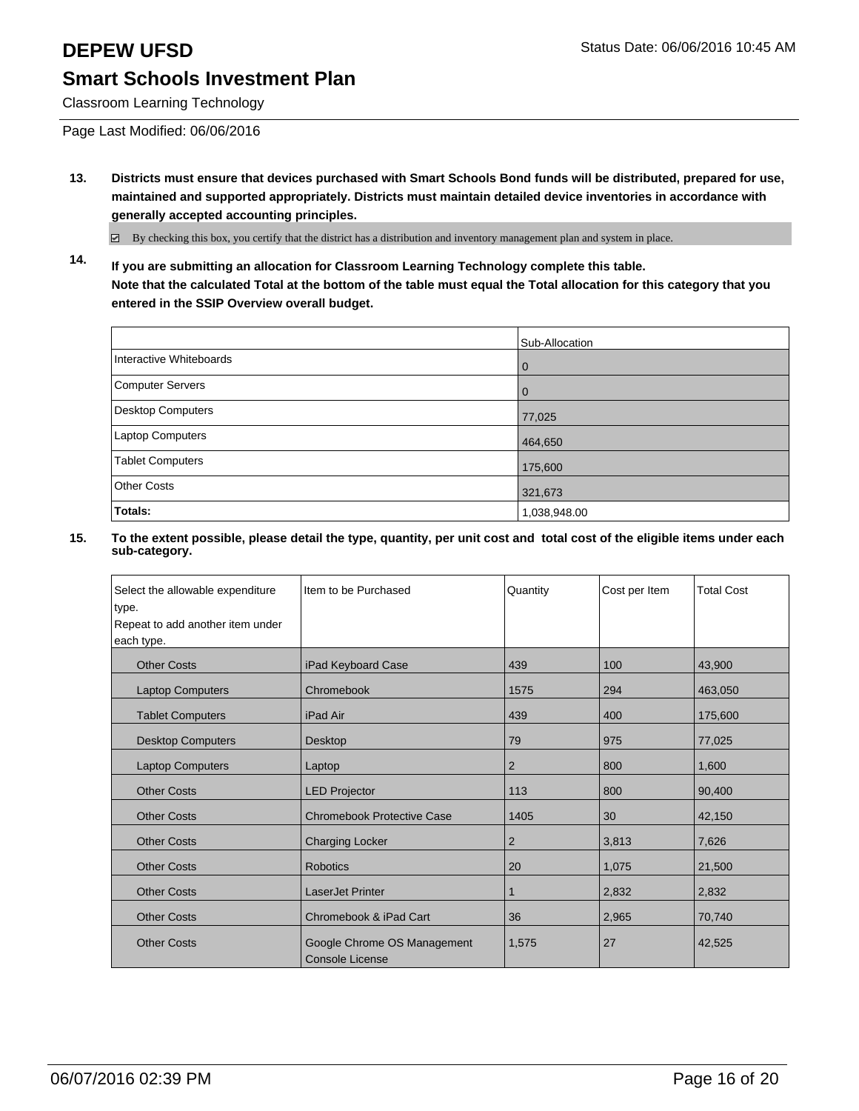Classroom Learning Technology

Page Last Modified: 06/06/2016

**13. Districts must ensure that devices purchased with Smart Schools Bond funds will be distributed, prepared for use, maintained and supported appropriately. Districts must maintain detailed device inventories in accordance with generally accepted accounting principles.**

By checking this box, you certify that the district has a distribution and inventory management plan and system in place.

**14. If you are submitting an allocation for Classroom Learning Technology complete this table. Note that the calculated Total at the bottom of the table must equal the Total allocation for this category that you entered in the SSIP Overview overall budget.**

|                         | Sub-Allocation |
|-------------------------|----------------|
| Interactive Whiteboards | 0              |
| Computer Servers        | O              |
| Desktop Computers       | 77,025         |
| Laptop Computers        | 464,650        |
| <b>Tablet Computers</b> | 175,600        |
| <b>Other Costs</b>      | 321,673        |
| Totals:                 | 1,038,948.00   |

| Select the allowable expenditure<br>type.<br>Repeat to add another item under<br>each type. | Item to be Purchased                                  | Quantity       | Cost per Item | <b>Total Cost</b> |
|---------------------------------------------------------------------------------------------|-------------------------------------------------------|----------------|---------------|-------------------|
| <b>Other Costs</b>                                                                          | iPad Keyboard Case                                    | 439            | 100           | 43,900            |
| <b>Laptop Computers</b>                                                                     | Chromebook                                            | 1575           | 294           | 463,050           |
| <b>Tablet Computers</b>                                                                     | iPad Air                                              | 439            | 400           | 175,600           |
| <b>Desktop Computers</b>                                                                    | Desktop                                               | 79             | 975           | 77,025            |
| <b>Laptop Computers</b>                                                                     | Laptop                                                | 2              | 800           | 1,600             |
| <b>Other Costs</b>                                                                          | <b>LED Projector</b>                                  | 113            | 800           | 90,400            |
| <b>Other Costs</b>                                                                          | <b>Chromebook Protective Case</b>                     | 1405           | 30            | 42,150            |
| <b>Other Costs</b>                                                                          | <b>Charging Locker</b>                                | $\overline{2}$ | 3,813         | 7,626             |
| <b>Other Costs</b>                                                                          | <b>Robotics</b>                                       | 20             | 1,075         | 21,500            |
| <b>Other Costs</b>                                                                          | <b>LaserJet Printer</b>                               | 1              | 2,832         | 2,832             |
| <b>Other Costs</b>                                                                          | Chromebook & iPad Cart                                | 36             | 2,965         | 70,740            |
| <b>Other Costs</b>                                                                          | Google Chrome OS Management<br><b>Console License</b> | 1,575          | 27            | 42,525            |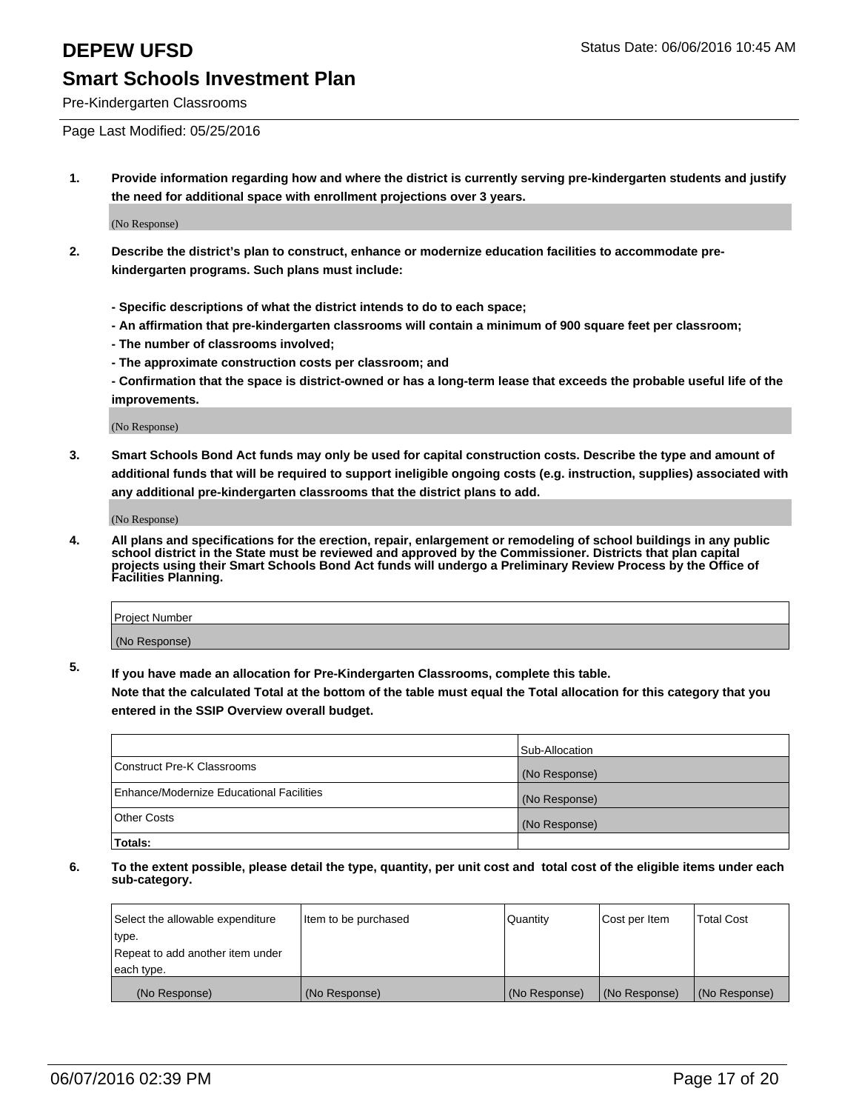Pre-Kindergarten Classrooms

Page Last Modified: 05/25/2016

**1. Provide information regarding how and where the district is currently serving pre-kindergarten students and justify the need for additional space with enrollment projections over 3 years.**

(No Response)

- **2. Describe the district's plan to construct, enhance or modernize education facilities to accommodate prekindergarten programs. Such plans must include:**
	- **Specific descriptions of what the district intends to do to each space;**
	- **An affirmation that pre-kindergarten classrooms will contain a minimum of 900 square feet per classroom;**
	- **The number of classrooms involved;**
	- **The approximate construction costs per classroom; and**
	- **Confirmation that the space is district-owned or has a long-term lease that exceeds the probable useful life of the improvements.**

(No Response)

**3. Smart Schools Bond Act funds may only be used for capital construction costs. Describe the type and amount of additional funds that will be required to support ineligible ongoing costs (e.g. instruction, supplies) associated with any additional pre-kindergarten classrooms that the district plans to add.**

(No Response)

**4. All plans and specifications for the erection, repair, enlargement or remodeling of school buildings in any public school district in the State must be reviewed and approved by the Commissioner. Districts that plan capital projects using their Smart Schools Bond Act funds will undergo a Preliminary Review Process by the Office of Facilities Planning.**

| <b>Project Number</b> |  |
|-----------------------|--|
| (No Response)         |  |

**5. If you have made an allocation for Pre-Kindergarten Classrooms, complete this table.**

**Note that the calculated Total at the bottom of the table must equal the Total allocation for this category that you entered in the SSIP Overview overall budget.**

|                                          | Sub-Allocation |
|------------------------------------------|----------------|
| Construct Pre-K Classrooms               | (No Response)  |
| Enhance/Modernize Educational Facilities | (No Response)  |
| Other Costs                              | (No Response)  |
| Totals:                                  |                |

| Select the allowable expenditure | Item to be purchased | Quantity      | Cost per Item | <b>Total Cost</b> |
|----------------------------------|----------------------|---------------|---------------|-------------------|
| type.                            |                      |               |               |                   |
| Repeat to add another item under |                      |               |               |                   |
| each type.                       |                      |               |               |                   |
| (No Response)                    | (No Response)        | (No Response) | (No Response) | (No Response)     |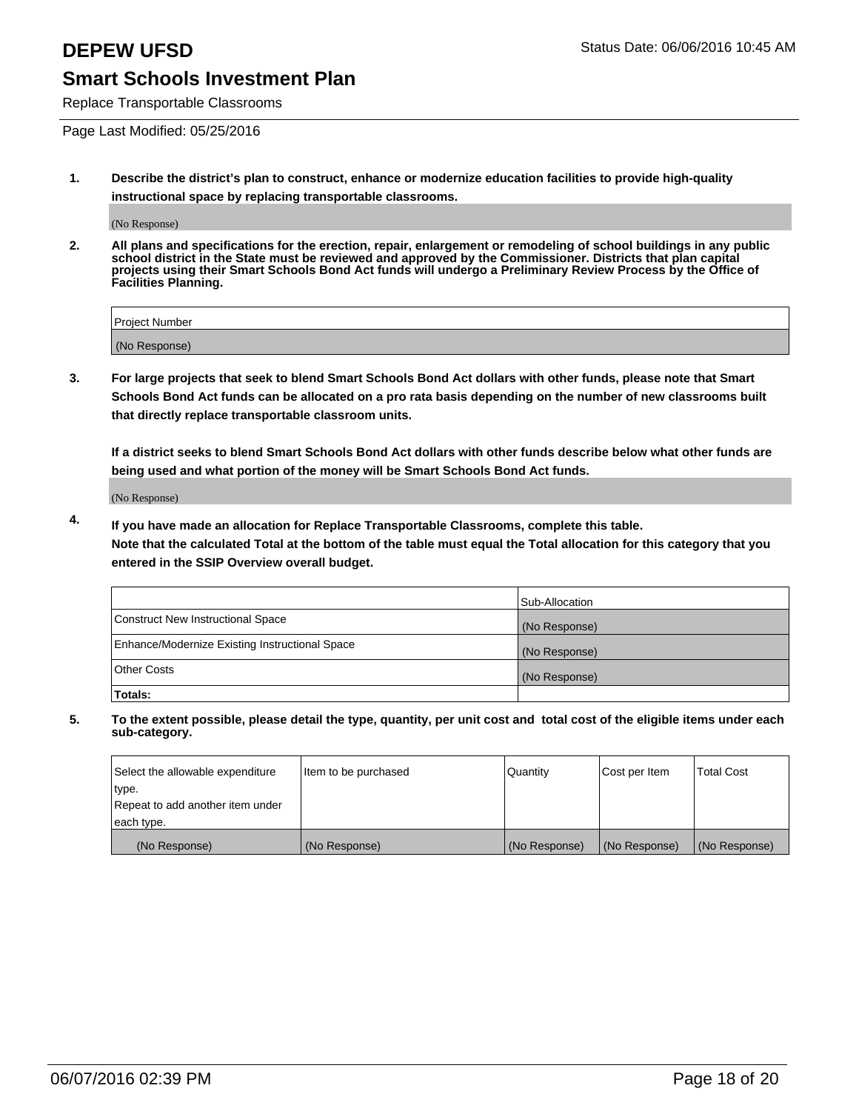Replace Transportable Classrooms

Page Last Modified: 05/25/2016

**1. Describe the district's plan to construct, enhance or modernize education facilities to provide high-quality instructional space by replacing transportable classrooms.**

(No Response)

**2. All plans and specifications for the erection, repair, enlargement or remodeling of school buildings in any public school district in the State must be reviewed and approved by the Commissioner. Districts that plan capital projects using their Smart Schools Bond Act funds will undergo a Preliminary Review Process by the Office of Facilities Planning.**

| <b>Project Number</b> |  |
|-----------------------|--|
| (No Response)         |  |

**3. For large projects that seek to blend Smart Schools Bond Act dollars with other funds, please note that Smart Schools Bond Act funds can be allocated on a pro rata basis depending on the number of new classrooms built that directly replace transportable classroom units.**

**If a district seeks to blend Smart Schools Bond Act dollars with other funds describe below what other funds are being used and what portion of the money will be Smart Schools Bond Act funds.**

(No Response)

**4. If you have made an allocation for Replace Transportable Classrooms, complete this table. Note that the calculated Total at the bottom of the table must equal the Total allocation for this category that you entered in the SSIP Overview overall budget.**

|                                                | Sub-Allocation |
|------------------------------------------------|----------------|
| Construct New Instructional Space              | (No Response)  |
| Enhance/Modernize Existing Instructional Space | (No Response)  |
| <b>Other Costs</b>                             | (No Response)  |
| Totals:                                        |                |

| Select the allowable expenditure | Item to be purchased | <b>Quantity</b> | Cost per Item | <b>Total Cost</b> |
|----------------------------------|----------------------|-----------------|---------------|-------------------|
| type.                            |                      |                 |               |                   |
| Repeat to add another item under |                      |                 |               |                   |
| each type.                       |                      |                 |               |                   |
| (No Response)                    | (No Response)        | (No Response)   | (No Response) | (No Response)     |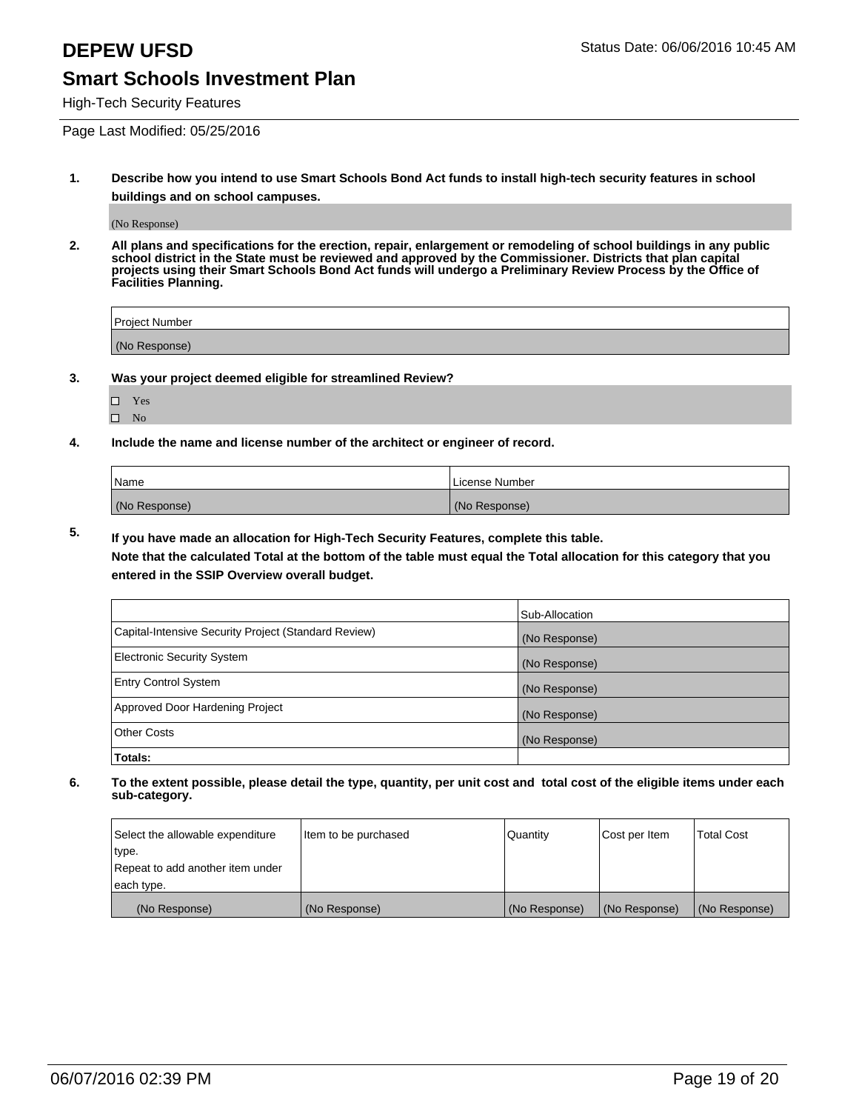High-Tech Security Features

Page Last Modified: 05/25/2016

**1. Describe how you intend to use Smart Schools Bond Act funds to install high-tech security features in school buildings and on school campuses.**

(No Response)

**2. All plans and specifications for the erection, repair, enlargement or remodeling of school buildings in any public school district in the State must be reviewed and approved by the Commissioner. Districts that plan capital projects using their Smart Schools Bond Act funds will undergo a Preliminary Review Process by the Office of Facilities Planning.** 

| Project Number |  |
|----------------|--|
| (No Response)  |  |

**3. Was your project deemed eligible for streamlined Review?**

| H | Yes |  |
|---|-----|--|
| П | Nο  |  |

**4. Include the name and license number of the architect or engineer of record.**

| Name          | License Number |
|---------------|----------------|
| (No Response) | (No Response)  |

**5. If you have made an allocation for High-Tech Security Features, complete this table.**

**Note that the calculated Total at the bottom of the table must equal the Total allocation for this category that you entered in the SSIP Overview overall budget.**

|                                                      | Sub-Allocation |
|------------------------------------------------------|----------------|
| Capital-Intensive Security Project (Standard Review) | (No Response)  |
| <b>Electronic Security System</b>                    | (No Response)  |
| <b>Entry Control System</b>                          | (No Response)  |
| Approved Door Hardening Project                      | (No Response)  |
| <b>Other Costs</b>                                   | (No Response)  |
| Totals:                                              |                |

| Select the allowable expenditure | Item to be purchased | Quantity      | Cost per Item | <b>Total Cost</b> |
|----------------------------------|----------------------|---------------|---------------|-------------------|
| type.                            |                      |               |               |                   |
| Repeat to add another item under |                      |               |               |                   |
| each type.                       |                      |               |               |                   |
| (No Response)                    | (No Response)        | (No Response) | (No Response) | (No Response)     |